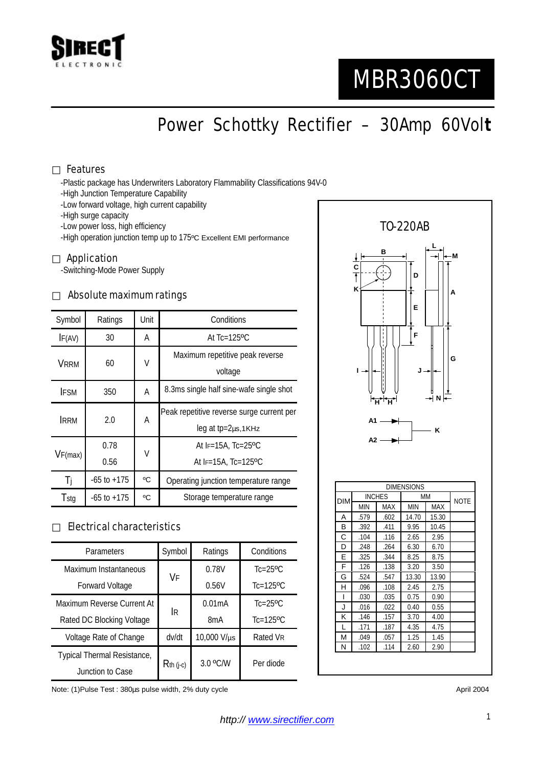

# MBR3060CT

Power Schottky Rectifier – 30Amp 60Vol**t**

### Features

-Plastic package has Underwriters Laboratory Flammability Classifications 94V-0

-High Junction Temperature Capability

-Low forward voltage, high current capability

-High surge capacity

-Low power loss, high efficiency

-High operation junction temp up to 175ºC Excellent EMI performance

#### Application

-Switching-Mode Power Supply

#### Absolute maximum ratings

| Symbol      | Ratings         | Unit | Conditions                                                      |  |
|-------------|-----------------|------|-----------------------------------------------------------------|--|
| IF(AV)      | 30              | Α    | At $Tc=125$ <sup>o</sup> C                                      |  |
| <b>VRRM</b> | 60              | V    | Maximum repetitive peak reverse<br>voltage                      |  |
| <b>IFSM</b> | 350             | Α    | 8.3ms single half sine-wafe single shot                         |  |
| <b>IRRM</b> | 2.0             | Α    | Peak repetitive reverse surge current per<br>leg at tp=2µs,1KHz |  |
| VF(max)     | 0.78<br>0.56    | V    | At IF=15A, Tc=25°C<br>At IF=15A, $Tc=125$ <sup>o</sup> C        |  |
| Ti          | $-65$ to $+175$ | °C   | Operating junction temperature range                            |  |
| Tstg        | $-65$ to $+175$ | °C   | Storage temperature range                                       |  |

## Electrical characteristics

| Parameters                  | Symbol      | Ratings          | Conditions                |
|-----------------------------|-------------|------------------|---------------------------|
| Maximum Instantaneous       | VF          | 0.78V            | $Tc=25$ <sup>o</sup> $C$  |
| <b>Forward Voltage</b>      |             | 0.56V            | $Tc=125$ <sup>o</sup> $C$ |
| Maximum Reverse Current At  |             | 0.01mA           | $Tc=25$ <sup>o</sup> $C$  |
| Rated DC Blocking Voltage   | <b>IR</b>   | 8 <sub>m</sub> A | $Tc=125$ <sup>o</sup> $C$ |
| Voltage Rate of Change      | dv/dt       | 10,000 V/µs      | Rated VR                  |
| Typical Thermal Resistance, | $Rth$ (j-c) | 3.0 °C/W         | Per diode                 |
| Junction to Case            |             |                  |                           |

Note: (1)Pulse Test : 380µs pulse width, 2% duty cycle April 2004 and the April 2004



| <b>DIM</b> | <b>INCHES</b> |      | MM    | <b>NOTE</b> |  |
|------------|---------------|------|-------|-------------|--|
|            | MIN           | MAX  | MIN   | <b>MAX</b>  |  |
| A          | .579          | .602 | 14.70 | 15.30       |  |
| В          | .392          | .411 | 9.95  | 10.45       |  |
| C          | .104          | .116 | 2.65  | 2.95        |  |
| D          | .248          | .264 | 6.30  | 6.70        |  |
| Е          | .325          | .344 | 8.25  | 8.75        |  |
| F          | .126          | .138 | 3.20  | 3.50        |  |
| G          | .524          | .547 | 13.30 | 13.90       |  |
| н          | .096          | .108 | 2.45  | 2.75        |  |
|            | .030          | .035 | 0.75  | 0.90        |  |
| J          | .016          | .022 | 0.40  | 0.55        |  |
| κ          | .146          | .157 | 3.70  | 4.00        |  |
| L          | .171          | .187 | 4.35  | 4.75        |  |
| М          | .049          | .057 | 1.25  | 1.45        |  |
| N          | .102          | .114 | 2.60  | 2.90        |  |

1